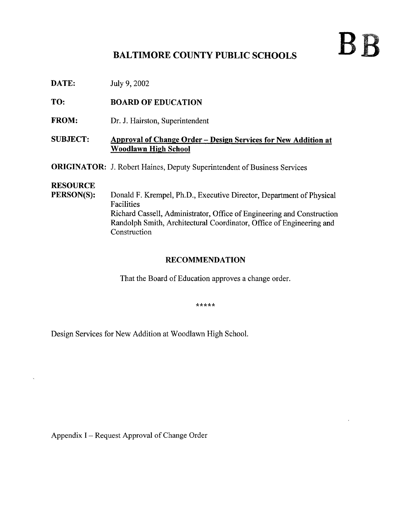# BB

## BALTIMORE COUNTY PUBLIC SCHOOLS

**DATE:** July 9, 2002

TO: BOARD OF EDUCATION

FROM: Dr. J. Hairston, Superintendent

### SUBJECT: Approval of Change Order - Design Services for New Addition at Woodlawn High School

**ORIGINATOR:** J. Robert Haines, Deputy Superintendent of Business Services

## **RESOURCE**<br>PERSON(S):

Donald F. Krempel, Ph.D., Executive Director, Department of Physical Facilities Richard Cassell, Administrator, Office of Engineering and Construction Randolph Smith, Architectural Coordinator, Office of Engineering and Construction

## RECOMMENDATION

That the Board of Education approves a change order.

\*\*\*\*\*

Design Services for New Addition at Woodlawn High School.

Appendix <sup>I</sup> - Request Approval of Change Order